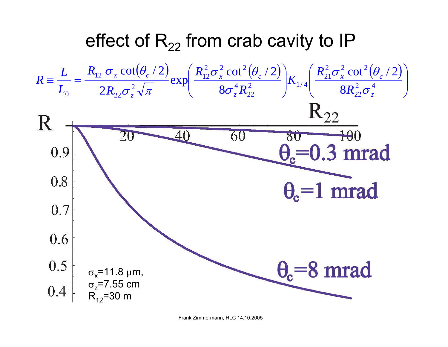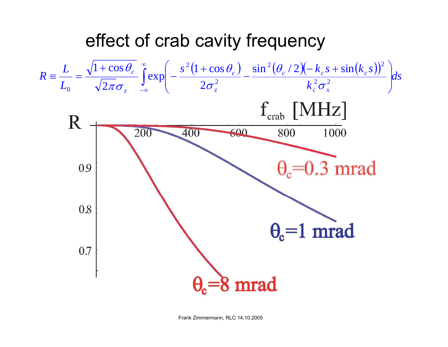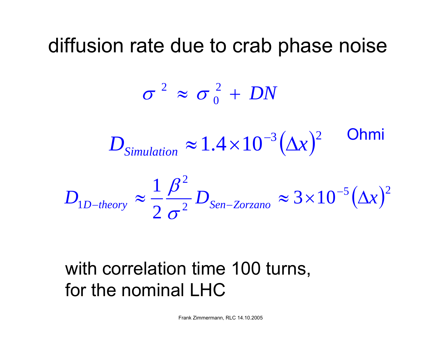## diffusion rate due to crab phase noise

$$
\sigma^2 \approx \sigma_0^2 + DN
$$
  

$$
D_{\text{Simulation}} \approx 1.4 \times 10^{-3} (\Delta x)^2
$$
Ohmi  

$$
D_{1D-theory} \approx \frac{1}{2} \frac{\beta^2}{\sigma^2} D_{\text{Sen-Zorzano}} \approx 3 \times 10^{-5} (\Delta x)^2
$$

## with correlation time 100 turns, for the nominal LHC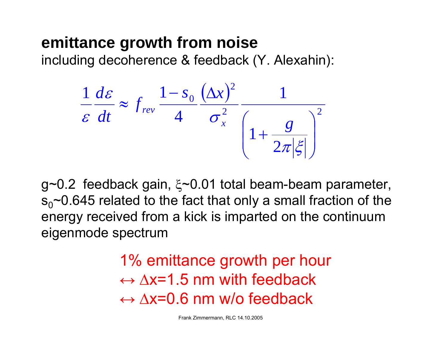## **emittance growth from noise**

including decoherence & feedback (Y. Alexahin):

$$
\frac{1}{\varepsilon} \frac{d\varepsilon}{dt} \approx f_{rev} \frac{1 - s_0}{4} \frac{(\Delta x)^2}{\sigma_x^2} \frac{1}{\left(1 + \frac{g}{2\pi |\xi|}\right)^2}
$$

g~0.2 feedback gain, ξ~0.01 total beam-beam parameter,  $s_0$ ~0.645 related to the fact that only a small fraction of the energy received from a kick is imparted on the continuum eigenmode spectrum

> 1% emittance growth per hour ↔ ∆x=1.5 nm with feedback ↔ ∆x=0.6 nm w/o feedback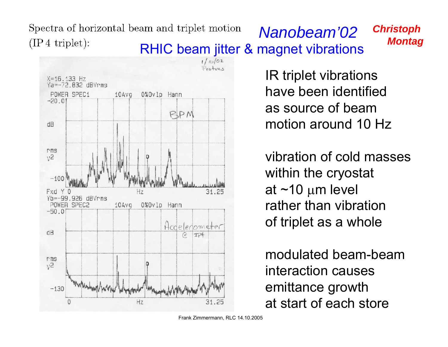*Spectra of horizontal beam and triplet motion*<br>(IP4 triplet): **RHIC beam jitter & magnet vibrations** *Montag*  $(\text{IP 4 triplet})$ :

*Christoph*



IR triplet vibrations have been identified as source of beam motion around 10 Hz

vibration of cold masses within the cryostat at ~10 µm level rather than vibrationof triplet as a whole

modulated beam-beaminteraction causesemittance growth at start of each store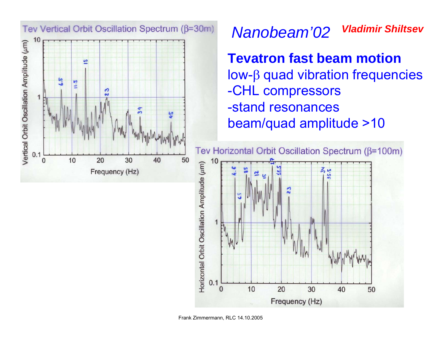

## *Vladimir ShiltsevNanobeam'02*

**Tevatron fast beam motion** low-β quad vibration frequencies -CHL compressors -stand resonances beam/quad amplitude >10